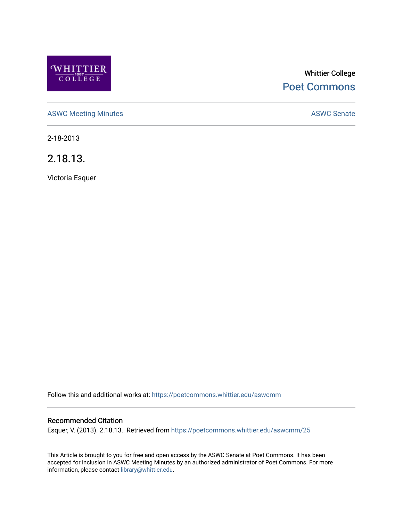

# Whittier College [Poet Commons](https://poetcommons.whittier.edu/)

[ASWC Meeting Minutes](https://poetcommons.whittier.edu/aswcmm) **ASWC Senate** 

2-18-2013

2.18.13.

Victoria Esquer

Follow this and additional works at: [https://poetcommons.whittier.edu/aswcmm](https://poetcommons.whittier.edu/aswcmm?utm_source=poetcommons.whittier.edu%2Faswcmm%2F25&utm_medium=PDF&utm_campaign=PDFCoverPages)

### Recommended Citation

Esquer, V. (2013). 2.18.13.. Retrieved from [https://poetcommons.whittier.edu/aswcmm/25](https://poetcommons.whittier.edu/aswcmm/25?utm_source=poetcommons.whittier.edu%2Faswcmm%2F25&utm_medium=PDF&utm_campaign=PDFCoverPages) 

This Article is brought to you for free and open access by the ASWC Senate at Poet Commons. It has been accepted for inclusion in ASWC Meeting Minutes by an authorized administrator of Poet Commons. For more information, please contact [library@whittier.edu.](mailto:library@whittier.edu)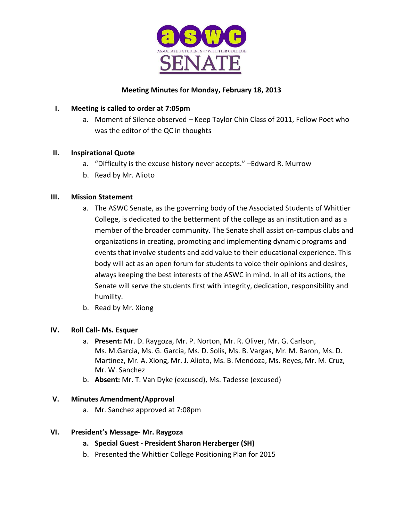

### **Meeting Minutes for Monday, February 18, 2013**

### **I. Meeting is called to order at 7:05pm**

a. Moment of Silence observed – Keep Taylor Chin Class of 2011, Fellow Poet who was the editor of the QC in thoughts

### **II. Inspirational Quote**

- a. "Difficulty is the excuse history never accepts." –Edward R. Murrow
- b. Read by Mr. Alioto

### **III. Mission Statement**

- a. The ASWC Senate, as the governing body of the Associated Students of Whittier College, is dedicated to the betterment of the college as an institution and as a member of the broader community. The Senate shall assist on-campus clubs and organizations in creating, promoting and implementing dynamic programs and events that involve students and add value to their educational experience. This body will act as an open forum for students to voice their opinions and desires, always keeping the best interests of the ASWC in mind. In all of its actions, the Senate will serve the students first with integrity, dedication, responsibility and humility.
- b. Read by Mr. Xiong

#### **IV. Roll Call- Ms. Esquer**

- a. **Present:** Mr. D. Raygoza, Mr. P. Norton, Mr. R. Oliver, Mr. G. Carlson, Ms. M.Garcia, Ms. G. Garcia, Ms. D. Solis, Ms. B. Vargas, Mr. M. Baron, Ms. D. Martinez, Mr. A. Xiong, Mr. J. Alioto, Ms. B. Mendoza, Ms. Reyes, Mr. M. Cruz, Mr. W. Sanchez
- b. **Absent:** Mr. T. Van Dyke (excused), Ms. Tadesse (excused)

#### **V. Minutes Amendment/Approval**

a. Mr. Sanchez approved at 7:08pm

#### **VI. President's Message- Mr. Raygoza**

- **a. Special Guest - President Sharon Herzberger (SH)**
- b. Presented the Whittier College Positioning Plan for 2015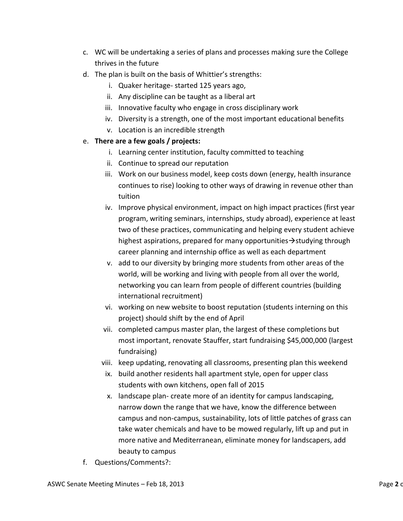- c. WC will be undertaking a series of plans and processes making sure the College thrives in the future
- d. The plan is built on the basis of Whittier's strengths:
	- i. Quaker heritage- started 125 years ago,
	- ii. Any discipline can be taught as a liberal art
	- iii. Innovative faculty who engage in cross disciplinary work
	- iv. Diversity is a strength, one of the most important educational benefits
	- v. Location is an incredible strength

### e. **There are a few goals / projects:**

- i. Learning center institution, faculty committed to teaching
- ii. Continue to spread our reputation
- iii. Work on our business model, keep costs down (energy, health insurance continues to rise) looking to other ways of drawing in revenue other than tuition
- iv. Improve physical environment, impact on high impact practices (first year program, writing seminars, internships, study abroad), experience at least two of these practices, communicating and helping every student achieve highest aspirations, prepared for many opportunities  $\rightarrow$  studying through career planning and internship office as well as each department
- v. add to our diversity by bringing more students from other areas of the world, will be working and living with people from all over the world, networking you can learn from people of different countries (building international recruitment)
- vi. working on new website to boost reputation (students interning on this project) should shift by the end of April
- vii. completed campus master plan, the largest of these completions but most important, renovate Stauffer, start fundraising \$45,000,000 (largest fundraising)
- viii. keep updating, renovating all classrooms, presenting plan this weekend
- ix. build another residents hall apartment style, open for upper class students with own kitchens, open fall of 2015
- x. landscape plan- create more of an identity for campus landscaping, narrow down the range that we have, know the difference between campus and non-campus, sustainability, lots of little patches of grass can take water chemicals and have to be mowed regularly, lift up and put in more native and Mediterranean, eliminate money for landscapers, add beauty to campus
- f. Questions/Comments?: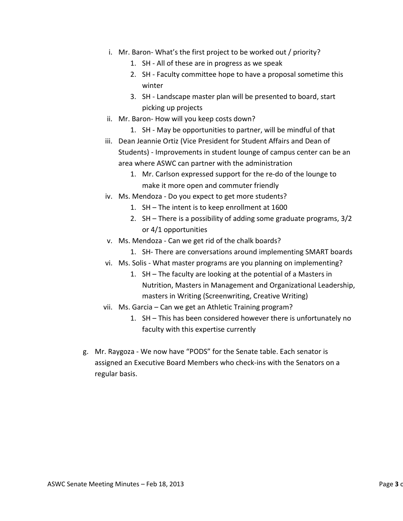- i. Mr. Baron- What's the first project to be worked out / priority?
	- 1. SH All of these are in progress as we speak
	- 2. SH Faculty committee hope to have a proposal sometime this winter
	- 3. SH Landscape master plan will be presented to board, start picking up projects
- ii. Mr. Baron- How will you keep costs down?
	- 1. SH May be opportunities to partner, will be mindful of that
- iii. Dean Jeannie Ortiz (Vice President for Student Affairs and Dean of Students) - Improvements in student lounge of campus center can be an area where ASWC can partner with the administration
	- 1. Mr. Carlson expressed support for the re-do of the lounge to make it more open and commuter friendly
- iv. Ms. Mendoza Do you expect to get more students?
	- 1. SH The intent is to keep enrollment at 1600
	- 2. SH There is a possibility of adding some graduate programs, 3/2 or 4/1 opportunities
- v. Ms. Mendoza Can we get rid of the chalk boards?
	- 1. SH- There are conversations around implementing SMART boards
- vi. Ms. Solis What master programs are you planning on implementing?
	- 1. SH The faculty are looking at the potential of a Masters in Nutrition, Masters in Management and Organizational Leadership, masters in Writing (Screenwriting, Creative Writing)
- vii. Ms. Garcia Can we get an Athletic Training program?
	- 1. SH This has been considered however there is unfortunately no faculty with this expertise currently
- g. Mr. Raygoza We now have "PODS" for the Senate table. Each senator is assigned an Executive Board Members who check-ins with the Senators on a regular basis.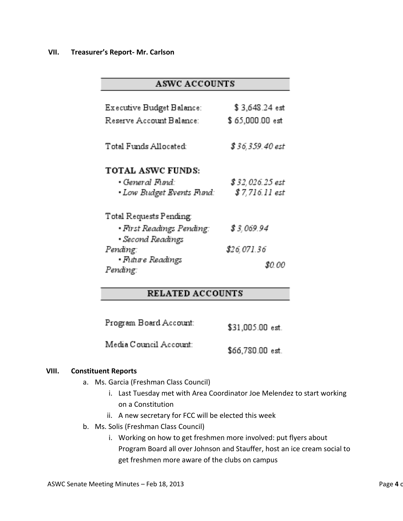#### **VII. Treasurer's Report- Mr. Carlson**

# **ASWC ACCOUNTS**

| Executive Budget Balance:<br>Reserve Account Balance:                    | \$3,648.24 est<br>\$65,000.00 est  |
|--------------------------------------------------------------------------|------------------------------------|
| Total Funds Allocated:                                                   | \$ 36,359.40 est                   |
| <b>TOTAL ASWC FUNDS:</b><br>• General Fund:<br>• Low Budget Events Fund: | \$ 32,026.25 est<br>\$7,716.11 est |
| Total Requests Pending<br>• First Readings Pending:<br>• Second Readings | \$ 3,069.94                        |
| Pending:<br>• Future Readings                                            | \$26,071.36                        |
| Pending:                                                                 | SO 00                              |

# **RELATED ACCOUNTS**

| Program Board Account: | \$31,005.00 est. |
|------------------------|------------------|
| Media Council Account: | \$66,780.00 est. |

#### **VIII. Constituent Reports**

- a. Ms. Garcia (Freshman Class Council)
	- i. Last Tuesday met with Area Coordinator Joe Melendez to start working on a Constitution
	- ii. A new secretary for FCC will be elected this week
- b. Ms. Solis (Freshman Class Council)
	- i. Working on how to get freshmen more involved: put flyers about Program Board all over Johnson and Stauffer, host an ice cream social to get freshmen more aware of the clubs on campus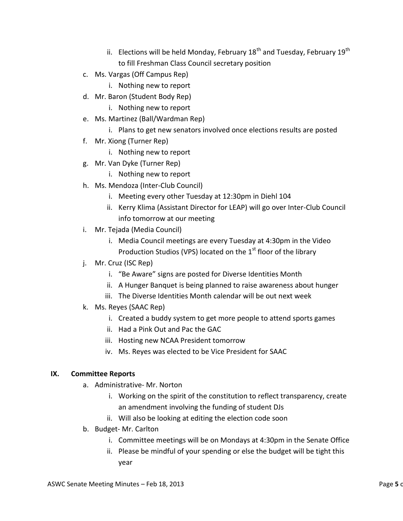- ii. Elections will be held Monday, February 18<sup>th</sup> and Tuesday, February 19<sup>th</sup> to fill Freshman Class Council secretary position
- c. Ms. Vargas (Off Campus Rep)
	- i. Nothing new to report
- d. Mr. Baron (Student Body Rep)
	- i. Nothing new to report
- e. Ms. Martinez (Ball/Wardman Rep)
	- i. Plans to get new senators involved once elections results are posted
- f. Mr. Xiong (Turner Rep)
	- i. Nothing new to report
- g. Mr. Van Dyke (Turner Rep)
	- i. Nothing new to report
- h. Ms. Mendoza (Inter-Club Council)
	- i. Meeting every other Tuesday at 12:30pm in Diehl 104
	- ii. Kerry Klima (Assistant Director for LEAP) will go over Inter-Club Council info tomorrow at our meeting
- i. Mr. Tejada (Media Council)
	- i. Media Council meetings are every Tuesday at 4:30pm in the Video Production Studios (VPS) located on the 1<sup>st</sup> floor of the library
- j. Mr. Cruz (ISC Rep)
	- i. "Be Aware" signs are posted for Diverse Identities Month
	- ii. A Hunger Banquet is being planned to raise awareness about hunger
	- iii. The Diverse Identities Month calendar will be out next week
- k. Ms. Reyes (SAAC Rep)
	- i. Created a buddy system to get more people to attend sports games
	- ii. Had a Pink Out and Pac the GAC
	- iii. Hosting new NCAA President tomorrow
	- iv. Ms. Reyes was elected to be Vice President for SAAC

### **IX. Committee Reports**

- a. Administrative- Mr. Norton
	- i. Working on the spirit of the constitution to reflect transparency, create an amendment involving the funding of student DJs
	- ii. Will also be looking at editing the election code soon
- b. Budget- Mr. Carlton
	- i. Committee meetings will be on Mondays at 4:30pm in the Senate Office
	- ii. Please be mindful of your spending or else the budget will be tight this year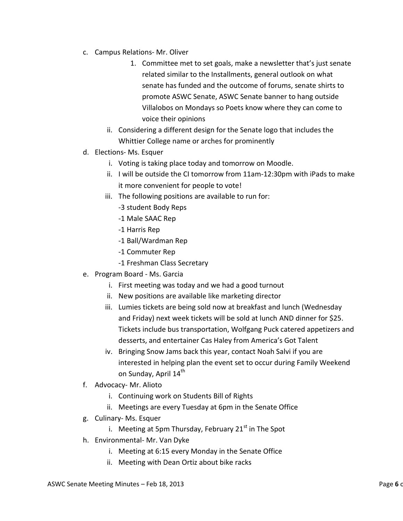- c. Campus Relations- Mr. Oliver
	- 1. Committee met to set goals, make a newsletter that's just senate related similar to the Installments, general outlook on what senate has funded and the outcome of forums, senate shirts to promote ASWC Senate, ASWC Senate banner to hang outside Villalobos on Mondays so Poets know where they can come to voice their opinions
	- ii. Considering a different design for the Senate logo that includes the Whittier College name or arches for prominently
- d. Elections- Ms. Esquer
	- i. Voting is taking place today and tomorrow on Moodle.
	- ii. I will be outside the CI tomorrow from 11am-12:30pm with iPads to make it more convenient for people to vote!
	- iii. The following positions are available to run for:
		- -3 student Body Reps
		- -1 Male SAAC Rep
		- -1 Harris Rep
		- -1 Ball/Wardman Rep
		- -1 Commuter Rep
		- -1 Freshman Class Secretary
- e. Program Board Ms. Garcia
	- i. First meeting was today and we had a good turnout
	- ii. New positions are available like marketing director
	- iii. Lumies tickets are being sold now at breakfast and lunch (Wednesday and Friday) next week tickets will be sold at lunch AND dinner for \$25. Tickets include bus transportation, Wolfgang Puck catered appetizers and desserts, and entertainer Cas Haley from America's Got Talent
	- iv. Bringing Snow Jams back this year, contact Noah Salvi if you are interested in helping plan the event set to occur during Family Weekend on Sunday, April 14<sup>th</sup>
- f. Advocacy- Mr. Alioto
	- i. Continuing work on Students Bill of Rights
	- ii. Meetings are every Tuesday at 6pm in the Senate Office
- g. Culinary- Ms. Esquer
	- i. Meeting at 5pm Thursday, February  $21<sup>st</sup>$  in The Spot
- h. Environmental- Mr. Van Dyke
	- i. Meeting at 6:15 every Monday in the Senate Office
	- ii. Meeting with Dean Ortiz about bike racks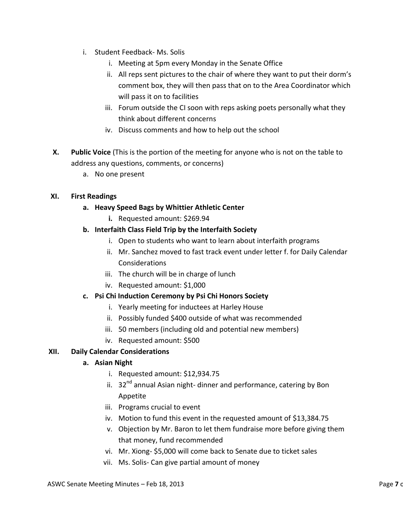- i. Student Feedback- Ms. Solis
	- i. Meeting at 5pm every Monday in the Senate Office
	- ii. All reps sent pictures to the chair of where they want to put their dorm's comment box, they will then pass that on to the Area Coordinator which will pass it on to facilities
	- iii. Forum outside the CI soon with reps asking poets personally what they think about different concerns
	- iv. Discuss comments and how to help out the school
- **X. Public Voice** (This is the portion of the meeting for anyone who is not on the table to address any questions, comments, or concerns)
	- a. No one present

### **XI. First Readings**

- **a. Heavy Speed Bags by Whittier Athletic Center**
	- **i.** Requested amount: \$269.94
- **b. Interfaith Class Field Trip by the Interfaith Society**
	- i. Open to students who want to learn about interfaith programs
	- ii. Mr. Sanchez moved to fast track event under letter f. for Daily Calendar Considerations
	- iii. The church will be in charge of lunch
	- iv. Requested amount: \$1,000

### **c. Psi Chi Induction Ceremony by Psi Chi Honors Society**

- i. Yearly meeting for inductees at Harley House
- ii. Possibly funded \$400 outside of what was recommended
- iii. 50 members (including old and potential new members)
- iv. Requested amount: \$500

### **XII. Daily Calendar Considerations**

### **a. Asian Night**

- i. Requested amount: \$12,934.75
- ii.  $32<sup>nd</sup>$  annual Asian night-dinner and performance, catering by Bon Appetite
- iii. Programs crucial to event
- iv. Motion to fund this event in the requested amount of \$13,384.75
- v. Objection by Mr. Baron to let them fundraise more before giving them that money, fund recommended
- vi. Mr. Xiong- \$5,000 will come back to Senate due to ticket sales
- vii. Ms. Solis- Can give partial amount of money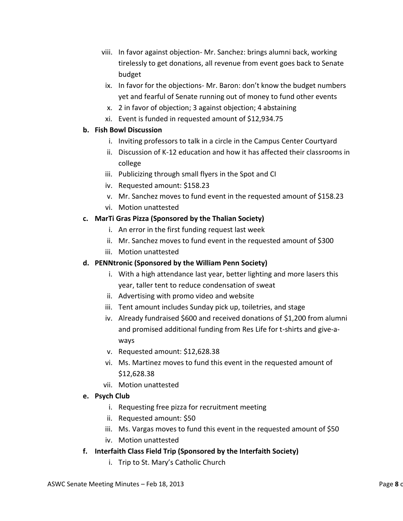- viii. In favor against objection- Mr. Sanchez: brings alumni back, working tirelessly to get donations, all revenue from event goes back to Senate budget
- ix. In favor for the objections- Mr. Baron: don't know the budget numbers yet and fearful of Senate running out of money to fund other events
- x. 2 in favor of objection; 3 against objection; 4 abstaining
- xi. Event is funded in requested amount of \$12,934.75

## **b. Fish Bowl Discussion**

- i. Inviting professors to talk in a circle in the Campus Center Courtyard
- ii. Discussion of K-12 education and how it has affected their classrooms in college
- iii. Publicizing through small flyers in the Spot and CI
- iv. Requested amount: \$158.23
- v. Mr. Sanchez moves to fund event in the requested amount of \$158.23
- vi. Motion unattested

# **c. MarTi Gras Pizza (Sponsored by the Thalian Society)**

- i. An error in the first funding request last week
- ii. Mr. Sanchez moves to fund event in the requested amount of \$300
- iii. Motion unattested

# **d. PENNtronic (Sponsored by the William Penn Society)**

- i. With a high attendance last year, better lighting and more lasers this year, taller tent to reduce condensation of sweat
- ii. Advertising with promo video and website
- iii. Tent amount includes Sunday pick up, toiletries, and stage
- iv. Already fundraised \$600 and received donations of \$1,200 from alumni and promised additional funding from Res Life for t-shirts and give-aways
- v. Requested amount: \$12,628.38
- vi. Ms. Martinez moves to fund this event in the requested amount of \$12,628.38
- vii. Motion unattested

# **e. Psych Club**

- i. Requesting free pizza for recruitment meeting
- ii. Requested amount: \$50
- iii. Ms. Vargas moves to fund this event in the requested amount of \$50
- iv. Motion unattested
- **f. Interfaith Class Field Trip (Sponsored by the Interfaith Society)**
	- i. Trip to St. Mary's Catholic Church